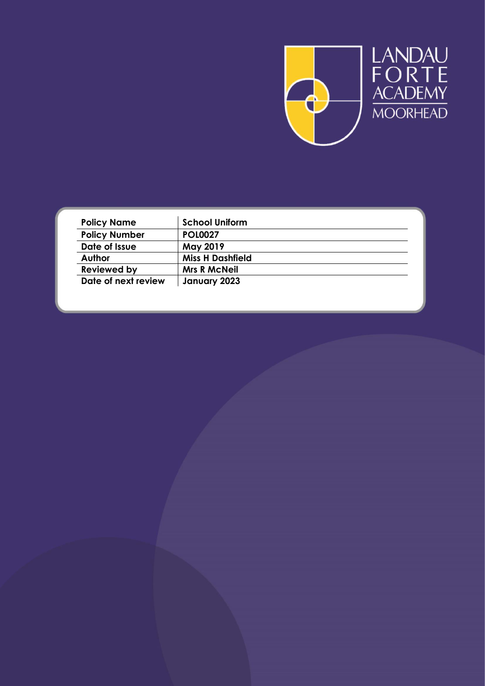

| <b>Policy Name</b>   | <b>School Uniform</b>   |  |
|----------------------|-------------------------|--|
| <b>Policy Number</b> | <b>POL0027</b>          |  |
| Date of Issue        | <b>May 2019</b>         |  |
| <b>Author</b>        | <b>Miss H Dashfield</b> |  |
| <b>Reviewed by</b>   | <b>Mrs R McNeil</b>     |  |
| Date of next review  | January 2023            |  |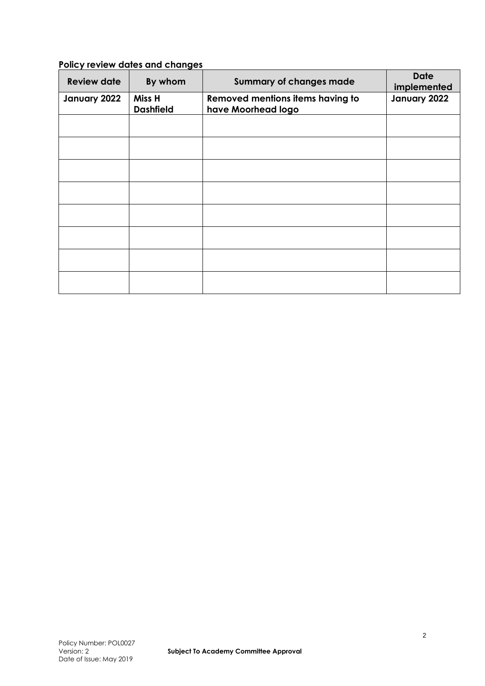# **Policy review dates and changes**

| <b>Review date</b> | By whom                    | <b>Summary of changes made</b>                         | <b>Date</b><br>implemented |
|--------------------|----------------------------|--------------------------------------------------------|----------------------------|
| January 2022       | Miss H<br><b>Dashfield</b> | Removed mentions items having to<br>have Moorhead logo | January 2022               |
|                    |                            |                                                        |                            |
|                    |                            |                                                        |                            |
|                    |                            |                                                        |                            |
|                    |                            |                                                        |                            |
|                    |                            |                                                        |                            |
|                    |                            |                                                        |                            |
|                    |                            |                                                        |                            |
|                    |                            |                                                        |                            |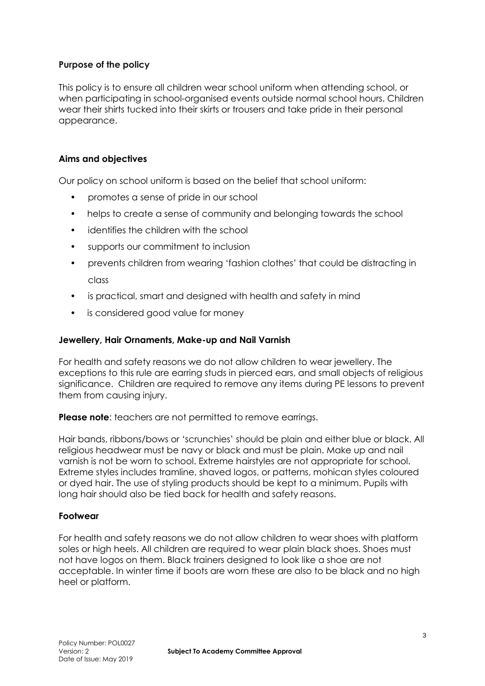## **Purpose of the policy**

This policy is to ensure all children wear school uniform when attending school, or when participating in school-organised events outside normal school hours. Children wear their shirts tucked into their skirts or trousers and take pride in their personal appearance.

## **Aims and objectives**

Our policy on school uniform is based on the belief that school uniform:

- promotes a sense of pride in our school
- helps to create a sense of community and belonging towards the school
- identifies the children with the school
- supports our commitment to inclusion
- prevents children from wearing 'fashion clothes' that could be distracting in class
- is practical, smart and designed with health and safety in mind
- is considered good value for money

#### **Jewellery, Hair Ornaments, Make-up and Nail Varnish**

For health and safety reasons we do not allow children to wear jewellery. The exceptions to this rule are earring studs in pierced ears, and small objects of religious significance. Children are required to remove any items during PE lessons to prevent them from causing injury.

**Please note:** teachers are not permitted to remove earrings.

Hair bands, ribbons/bows or 'scrunchies' should be plain and either blue or black. All religious headwear must be navy or black and must be plain. Make up and nail varnish is not be worn to school. Extreme hairstyles are not appropriate for school. Extreme styles includes tramline, shaved logos, or patterns, mohican styles coloured or dyed hair. The use of styling products should be kept to a minimum. Pupils with long hair should also be tied back for health and safety reasons.

#### **Footwear**

For health and safety reasons we do not allow children to wear shoes with platform soles or high heels. All children are required to wear plain black shoes. Shoes must not have logos on them. Black trainers designed to look like a shoe are not acceptable. In winter time if boots are worn these are also to be black and no high heel or platform.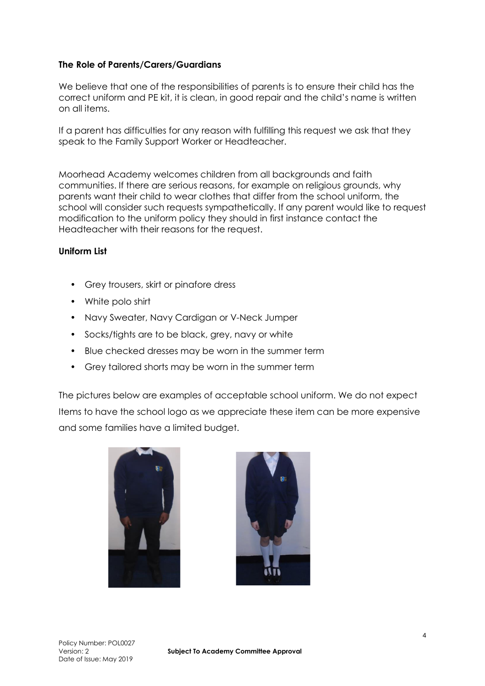## **The Role of Parents/Carers/Guardians**

We believe that one of the responsibilities of parents is to ensure their child has the correct uniform and PE kit, it is clean, in good repair and the child's name is written on all items.

If a parent has difficulties for any reason with fulfilling this request we ask that they speak to the Family Support Worker or Headteacher.

Moorhead Academy welcomes children from all backgrounds and faith communities. If there are serious reasons, for example on religious grounds, why parents want their child to wear clothes that differ from the school uniform, the school will consider such requests sympathetically. If any parent would like to request modification to the uniform policy they should in first instance contact the Headteacher with their reasons for the request.

### **Uniform List**

- Grey trousers, skirt or pinafore dress
- White polo shirt
- Navy Sweater, Navy Cardigan or V-Neck Jumper
- Socks/tights are to be black, grey, navy or white
- Blue checked dresses may be worn in the summer term
- Grey tailored shorts may be worn in the summer term

The pictures below are examples of acceptable school uniform. We do not expect Items to have the school logo as we appreciate these item can be more expensive and some families have a limited budget.



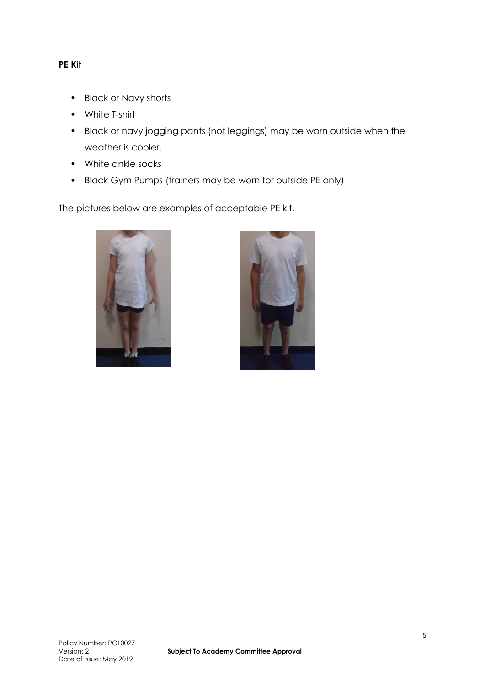## **PE Kit**

- Black or Navy shorts
- White T-shirt
- Black or navy jogging pants (not leggings) may be worn outside when the weather is cooler.
- White ankle socks
- Black Gym Pumps (trainers may be worn for outside PE only)

The pictures below are examples of acceptable PE kit.